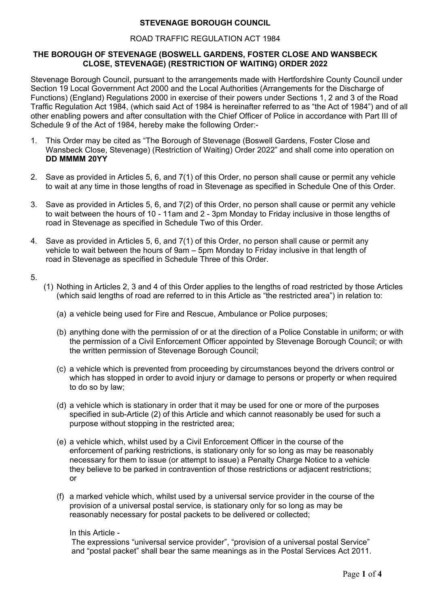# **STEVENAGE BOROUGH COUNCIL**

### ROAD TRAFFIC REGULATION ACT 1984

### **THE BOROUGH OF STEVENAGE (BOSWELL GARDENS, FOSTER CLOSE AND WANSBECK CLOSE, STEVENAGE) (RESTRICTION OF WAITING) ORDER 2022**

Stevenage Borough Council, pursuant to the arrangements made with Hertfordshire County Council under Section 19 Local Government Act 2000 and the Local Authorities (Arrangements for the Discharge of Functions) (England) Regulations 2000 in exercise of their powers under Sections 1, 2 and 3 of the Road Traffic Regulation Act 1984, (which said Act of 1984 is hereinafter referred to as "the Act of 1984") and of all other enabling powers and after consultation with the Chief Officer of Police in accordance with Part III of Schedule 9 of the Act of 1984, hereby make the following Order:-

- 1. This Order may be cited as "The Borough of Stevenage (Boswell Gardens, Foster Close and Wansbeck Close, Stevenage) (Restriction of Waiting) Order 2022" and shall come into operation on **DD MMMM 20YY**
- 2. Save as provided in Articles 5, 6, and 7(1) of this Order, no person shall cause or permit any vehicle to wait at any time in those lengths of road in Stevenage as specified in Schedule One of this Order.
- 3. Save as provided in Articles 5, 6, and 7(2) of this Order, no person shall cause or permit any vehicle to wait between the hours of 10 - 11am and 2 - 3pm Monday to Friday inclusive in those lengths of road in Stevenage as specified in Schedule Two of this Order.
- 4. Save as provided in Articles 5, 6, and 7(1) of this Order, no person shall cause or permit any vehicle to wait between the hours of 9am – 5pm Monday to Friday inclusive in that length of road in Stevenage as specified in Schedule Three of this Order.

5.

- (1) Nothing in Articles 2, 3 and 4 of this Order applies to the lengths of road restricted by those Articles (which said lengths of road are referred to in this Article as "the restricted area") in relation to:
	- (a) a vehicle being used for Fire and Rescue, Ambulance or Police purposes;
	- (b) anything done with the permission of or at the direction of a Police Constable in uniform; or with the permission of a Civil Enforcement Officer appointed by Stevenage Borough Council; or with the written permission of Stevenage Borough Council;
	- (c) a vehicle which is prevented from proceeding by circumstances beyond the drivers control or which has stopped in order to avoid injury or damage to persons or property or when required to do so by law;
	- (d) a vehicle which is stationary in order that it may be used for one or more of the purposes specified in sub-Article (2) of this Article and which cannot reasonably be used for such a purpose without stopping in the restricted area;
	- (e) a vehicle which, whilst used by a Civil Enforcement Officer in the course of the enforcement of parking restrictions, is stationary only for so long as may be reasonably necessary for them to issue (or attempt to issue) a Penalty Charge Notice to a vehicle they believe to be parked in contravention of those restrictions or adjacent restrictions; or
	- (f) a marked vehicle which, whilst used by a universal service provider in the course of the provision of a universal postal service, is stationary only for so long as may be reasonably necessary for postal packets to be delivered or collected;

#### In this Article -

The expressions "universal service provider", "provision of a universal postal Service" and "postal packet" shall bear the same meanings as in the Postal Services Act 2011.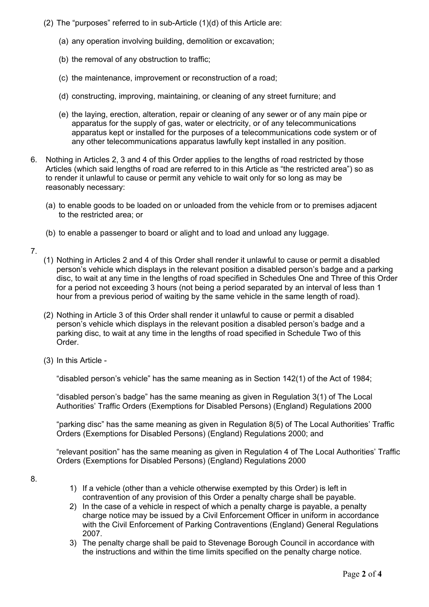- (2) The "purposes" referred to in sub-Article (1)(d) of this Article are:
	- (a) any operation involving building, demolition or excavation;
	- (b) the removal of any obstruction to traffic;
	- (c) the maintenance, improvement or reconstruction of a road;
	- (d) constructing, improving, maintaining, or cleaning of any street furniture; and
	- (e) the laying, erection, alteration, repair or cleaning of any sewer or of any main pipe or apparatus for the supply of gas, water or electricity, or of any telecommunications apparatus kept or installed for the purposes of a telecommunications code system or of any other telecommunications apparatus lawfully kept installed in any position.
- 6. Nothing in Articles 2, 3 and 4 of this Order applies to the lengths of road restricted by those Articles (which said lengths of road are referred to in this Article as "the restricted area") so as to render it unlawful to cause or permit any vehicle to wait only for so long as may be reasonably necessary:
	- (a) to enable goods to be loaded on or unloaded from the vehicle from or to premises adjacent to the restricted area; or
	- (b) to enable a passenger to board or alight and to load and unload any luggage.
- 7.
- (1) Nothing in Articles 2 and 4 of this Order shall render it unlawful to cause or permit a disabled person's vehicle which displays in the relevant position a disabled person's badge and a parking disc, to wait at any time in the lengths of road specified in Schedules One and Three of this Order for a period not exceeding 3 hours (not being a period separated by an interval of less than 1 hour from a previous period of waiting by the same vehicle in the same length of road).
- (2) Nothing in Article 3 of this Order shall render it unlawful to cause or permit a disabled person's vehicle which displays in the relevant position a disabled person's badge and a parking disc, to wait at any time in the lengths of road specified in Schedule Two of this Order.
- (3) In this Article -

"disabled person's vehicle" has the same meaning as in Section 142(1) of the Act of 1984;

"disabled person's badge" has the same meaning as given in Regulation 3(1) of The Local Authorities' Traffic Orders (Exemptions for Disabled Persons) (England) Regulations 2000

"parking disc" has the same meaning as given in Regulation 8(5) of The Local Authorities' Traffic Orders (Exemptions for Disabled Persons) (England) Regulations 2000; and

 "relevant position" has the same meaning as given in Regulation 4 of The Local Authorities' Traffic Orders (Exemptions for Disabled Persons) (England) Regulations 2000

- 8.
- 1) If a vehicle (other than a vehicle otherwise exempted by this Order) is left in contravention of any provision of this Order a penalty charge shall be payable.
- 2) In the case of a vehicle in respect of which a penalty charge is payable, a penalty charge notice may be issued by a Civil Enforcement Officer in uniform in accordance with the Civil Enforcement of Parking Contraventions (England) General Regulations 2007.
- 3) The penalty charge shall be paid to Stevenage Borough Council in accordance with the instructions and within the time limits specified on the penalty charge notice.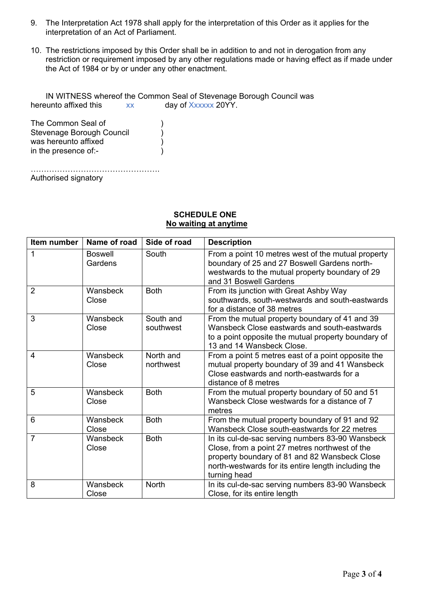- 9. The Interpretation Act 1978 shall apply for the interpretation of this Order as it applies for the interpretation of an Act of Parliament.
- 10. The restrictions imposed by this Order shall be in addition to and not in derogation from any restriction or requirement imposed by any other regulations made or having effect as if made under the Act of 1984 or by or under any other enactment.

IN WITNESS whereof the Common Seal of Stevenage Borough Council was hereunto affixed this xx day of Xxxxxx 20YY.

The Common Seal of (1996) Stevenage Borough Council  $\overrightarrow{\hspace{1cm}}$ was hereunto affixed  $\left( \begin{array}{ccc} 0 & 0 & 0 \\ 0 & 0 & 0 \\ 0 & 0 & 0 \\ 0 & 0 & 0 \end{array} \right)$ in the presence of:-

…………………………………………. Authorised signatory

#### **SCHEDULE ONE No waiting at anytime**

| Item number    | Name of road              | Side of road           | <b>Description</b>                                                                                                                                                                                                         |
|----------------|---------------------------|------------------------|----------------------------------------------------------------------------------------------------------------------------------------------------------------------------------------------------------------------------|
| 1              | <b>Boswell</b><br>Gardens | South                  | From a point 10 metres west of the mutual property<br>boundary of 25 and 27 Boswell Gardens north-<br>westwards to the mutual property boundary of 29<br>and 31 Boswell Gardens                                            |
| $\overline{2}$ | Wansbeck<br>Close         | <b>Both</b>            | From its junction with Great Ashby Way<br>southwards, south-westwards and south-eastwards<br>for a distance of 38 metres                                                                                                   |
| 3              | Wansbeck<br>Close         | South and<br>southwest | From the mutual property boundary of 41 and 39<br>Wansbeck Close eastwards and south-eastwards<br>to a point opposite the mutual property boundary of<br>13 and 14 Wansbeck Close.                                         |
| 4              | Wansbeck<br>Close         | North and<br>northwest | From a point 5 metres east of a point opposite the<br>mutual property boundary of 39 and 41 Wansbeck<br>Close eastwards and north-eastwards for a<br>distance of 8 metres                                                  |
| 5              | Wansbeck<br>Close         | <b>Both</b>            | From the mutual property boundary of 50 and 51<br>Wansbeck Close westwards for a distance of 7<br>metres                                                                                                                   |
| 6              | Wansbeck<br>Close         | <b>Both</b>            | From the mutual property boundary of 91 and 92<br>Wansbeck Close south-eastwards for 22 metres                                                                                                                             |
| $\overline{7}$ | Wansbeck<br>Close         | <b>Both</b>            | In its cul-de-sac serving numbers 83-90 Wansbeck<br>Close, from a point 27 metres northwest of the<br>property boundary of 81 and 82 Wansbeck Close<br>north-westwards for its entire length including the<br>turning head |
| 8              | Wansbeck<br>Close         | <b>North</b>           | In its cul-de-sac serving numbers 83-90 Wansbeck<br>Close, for its entire length                                                                                                                                           |